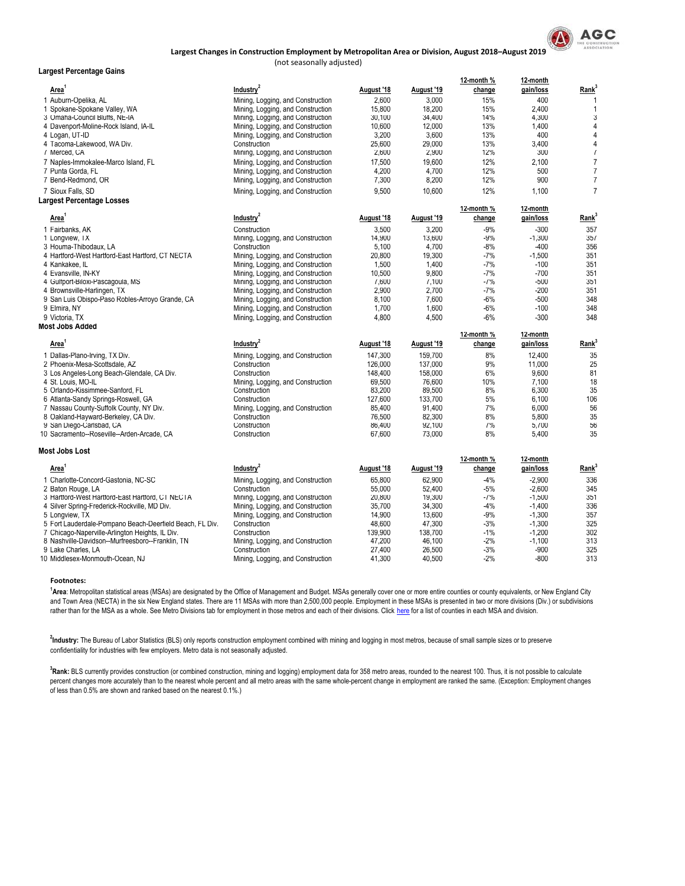

## (not seasonally adjusted) **Largest Changes in Construction Employment by Metropolitan Area or Division, August 2018–August 2019**

| Largest Percentage Gains                                 |                                   |            |            |            |           |                         |
|----------------------------------------------------------|-----------------------------------|------------|------------|------------|-----------|-------------------------|
|                                                          |                                   |            |            | 12-month % | 12-month  |                         |
| Area                                                     | Industry <sup>2</sup>             | August '18 | August '19 | change     | gain/loss | Rank <sup>3</sup>       |
| 1 Auburn-Opelika, AL                                     | Mining, Logging, and Construction | 2,600      | 3,000      | 15%        | 400       | $\mathbf{1}$            |
| 1 Spokane-Spokane Valley, WA                             | Mining, Logging, and Construction | 15,800     | 18,200     | 15%        | 2,400     | $\mathbf{1}$            |
| 3 Omaha-Council Bluffs, NE-IA                            | Mining, Logging, and Construction | 30,100     | 34,400     | 14%        | 4,300     | 3                       |
| 4 Davenport-Moline-Rock Island, IA-IL                    | Mining, Logging, and Construction | 10,600     | 12,000     | 13%        | 1,400     | $\overline{4}$          |
| 4 Logan, UT-ID                                           | Mining, Logging, and Construction | 3,200      | 3.600      | 13%        | 400       | $\overline{4}$          |
| 4 I acoma-Lakewood, WA Div.                              | Construction                      | 25,600     | 29,000     | 13%        | 3,400     | $\overline{\mathbf{4}}$ |
| 7 Merced, CA                                             | Mining, Logging, and Construction | 2,600      | 2,900      | 12%        | 300       | $\overline{7}$          |
| 7 Naples-Immokalee-Marco Island, FL                      | Mining, Logging, and Construction | 17,500     | 19.600     | 12%        | 2.100     | $\overline{7}$          |
| 7 Punta Gorda, FL                                        | Mining, Logging, and Construction | 4,200      | 4,700      | 12%        | 500       | $\overline{7}$          |
| 7 Bend-Redmond, OR                                       | Mining, Logging, and Construction | 7,300      | 8,200      | 12%        | 900       | $\overline{7}$          |
|                                                          |                                   |            |            |            |           |                         |
| 7 Sioux Falls, SD                                        | Mining, Logging, and Construction | 9,500      | 10,600     | 12%        | 1,100     | $\overline{7}$          |
| Largest Percentage Losses                                |                                   |            |            | 12-month%  | 12-month  |                         |
| Area <sup>1</sup>                                        | Industry <sup>2</sup>             | August '18 | August '19 | change     | gain/loss | Rank <sup>3</sup>       |
| 1 Fairbanks, AK                                          | Construction                      | 3.500      | 3.200      | $-9%$      | $-300$    | 357                     |
| 1 Longview, TX                                           | Mining, Logging, and Construction | 14,900     | 13,600     | $-9%$      | $-1,300$  | 357                     |
| 3 Houma-Thibodaux, LA                                    | Construction                      | 5,100      | 4,700      | $-8%$      | $-400$    | 356                     |
| 4 Hartford-West Hartford-East Hartford, CT NECTA         | Mining, Logging, and Construction | 20,800     | 19,300     | $-7%$      | $-1,500$  | 351                     |
| 4 Kankakee, IL                                           | Mining, Logging, and Construction | 1,500      | 1,400      | $-7%$      | $-100$    | 351                     |
| 4 Evansville, IN-KY                                      | Mining, Logging, and Construction | 10,500     | 9,800      | $-7%$      | $-700$    | 351                     |
| 4 Gulfport-Biloxi-Pascagoula, MS                         |                                   | 7,600      | 7,100      | $-7%$      | $-500$    | 351                     |
|                                                          | Mining, Logging, and Construction | 2,900      | 2,700      | $-7%$      | $-200$    | 351                     |
| 4 Brownsville-Harlingen, TX                              | Mining, Logging, and Construction |            | 7.600      | $-6%$      | $-500$    | 348                     |
| 9 San Luis Obispo-Paso Robles-Arroyo Grande, CA          | Mining, Logging, and Construction | 8,100      |            |            |           |                         |
| 9 Elmira, NY                                             | Mining, Logging, and Construction | 1,700      | 1,600      | $-6%$      | $-100$    | 348                     |
| 9 Victoria, TX                                           | Mining, Logging, and Construction | 4,800      | 4,500      | $-6%$      | $-300$    | 348                     |
| Most Jobs Added                                          |                                   |            |            | 12-month % | 12-month  |                         |
| Area <sup>1</sup>                                        | Industry <sup>2</sup>             | August '18 | August '19 | change     | gain/loss | Rank <sup>3</sup>       |
| 1 Dallas-Plano-Irving, TX Div.                           | Mining, Logging, and Construction | 147,300    | 159,700    | 8%         | 12,400    | 35                      |
| 2 Phoenix-Mesa-Scottsdale, AZ                            | Construction                      | 126,000    | 137,000    | 9%         | 11,000    | 25                      |
| 3 Los Angeles-Long Beach-Glendale, CA Div.               | Construction                      | 148,400    | 158,000    | 6%         | 9,600     | 81                      |
|                                                          |                                   | 69,500     | 76,600     | 10%        | 7,100     | 18                      |
| 4 St. Louis, MO-IL                                       | Mining, Logging, and Construction |            |            |            |           | 35                      |
| 5 Orlando-Kissimmee-Sanford, FL                          | Construction                      | 83,200     | 89,500     | 8%<br>5%   | 6,300     | 106                     |
| 6 Atlanta-Sandy Springs-Roswell, GA                      | Construction                      | 127,600    | 133,700    |            | 6,100     |                         |
| 7 Nassau County-Suffolk County, NY Div.                  | Mining, Logging, and Construction | 85,400     | 91,400     | 7%         | 6,000     | 56                      |
| 8 Oakland-Hayward-Berkeley, CA Div.                      | Construction                      | 76,500     | 82,300     | 8%         | 5,800     | 35                      |
| 9 San Diego-Carlsbad, CA                                 | Construction                      | 86,400     | 92,100     | 7%         | 5,700     | 56                      |
| 10 Sacramento--Roseville--Arden-Arcade, CA               | Construction                      | 67,600     | 73,000     | 8%         | 5,400     | 35                      |
| Most Jobs Lost                                           |                                   |            |            |            |           |                         |
|                                                          |                                   |            |            | 12-month % | 12-month  |                         |
| Area'                                                    | Industry <sup>2</sup>             | August '18 | August '19 | change     | gain/loss | Rank <sup>3</sup>       |
| 1 Charlotte-Concord-Gastonia, NC-SC                      | Mining, Logging, and Construction | 65,800     | 62,900     | $-4%$      | $-2,900$  | 336                     |
| 2 Baton Rouge, LA                                        | Construction                      | 55,000     | 52,400     | $-5%$      | $-2,600$  | 345                     |
| 3 Hartford-West Hartford-East Hartford, CT NECTA         | Mining, Logging, and Construction | 20.800     | 19.300     | $-7%$      | $-1.500$  | 351                     |
| 4 Silver Spring-Frederick-Rockville, MD Div.             | Mining, Logging, and Construction | 35,700     | 34,300     | $-4%$      | $-1,400$  | 336                     |
| 5 Longview, TX                                           | Mining, Logging, and Construction | 14,900     | 13,600     | $-9%$      | $-1,300$  | 357                     |
| 5 Fort Lauderdale-Pompano Beach-Deerfield Beach, FL Div. | Construction                      | 48,600     | 47,300     | $-3%$      | $-1,300$  | 325                     |
| 7 Chicago-Naperville-Arlington Heights, IL Div.          | Construction                      | 139,900    | 138,700    | $-1\%$     | $-1,200$  | 302                     |
| 8 Nashville-Davidson--Murfreesboro--Franklin, TN         | Mining, Logging, and Construction | 47,200     | 46,100     | $-2%$      | $-1,100$  | 313                     |
| 9 Lake Charles, LA                                       | Construction                      | 27,400     | 26,500     | $-3%$      | $-900$    | 325                     |
| 10 Middlesex-Monmouth-Ocean, NJ                          | Mining, Logging, and Construction | 41,300     | 40,500     | $-2\%$     | $-800$    | 313                     |

**Footnotes:**

<sup>[1](https://www2.census.gov/programs-surveys/metro-micro/geographies/reference-files/2017/delineation-files/list1.xls)</sup>[Area](https://www2.census.gov/programs-surveys/metro-micro/geographies/reference-files/2017/delineation-files/list1.xls)[: Metropolitan statistical areas \(MSAs\) are designated by the](https://www2.census.gov/programs-surveys/metro-micro/geographies/reference-files/2017/delineation-files/list1.xls) Office of Management and Budget. MSAs generally cover one or more entire counties or county equivalents, or New England City [and Town Area \(NECTA\) in the six New England states. There are](https://www2.census.gov/programs-surveys/metro-micro/geographies/reference-files/2017/delineation-files/list1.xls) 11 MSAs with more than 2,500,000 people. Employment in these MSAs is presented in two or more divisions (Div.) or subdivisions [rather than for the MSA as a whole. See Metro Divisions tab for employment in those metros and each of their divisions. Click here](https://www2.census.gov/programs-surveys/metro-micro/geographies/reference-files/2017/delineation-files/list1.xls) for a list of counties in each MSA and division.

**2 Industry:** The Bureau of Labor Statistics (BLS) only reports construction employment combined with mining and logging in most metros, because of small sample sizes or to preserve confidentiality for industries with few employers. Metro data is not seasonally adjusted.

<sup>3</sup>Rank: BLS currently provides construction (or combined construction, mining and logging) employment data for 358 metro areas, rounded to the nearest 100. Thus, it is not possible to calculate percent changes more accurately than to the nearest whole percent and all metro areas with the same whole-percent change in employment are ranked the same. (Exception: Employment changes of less than 0.5% are shown and ranked based on the nearest 0.1%.)